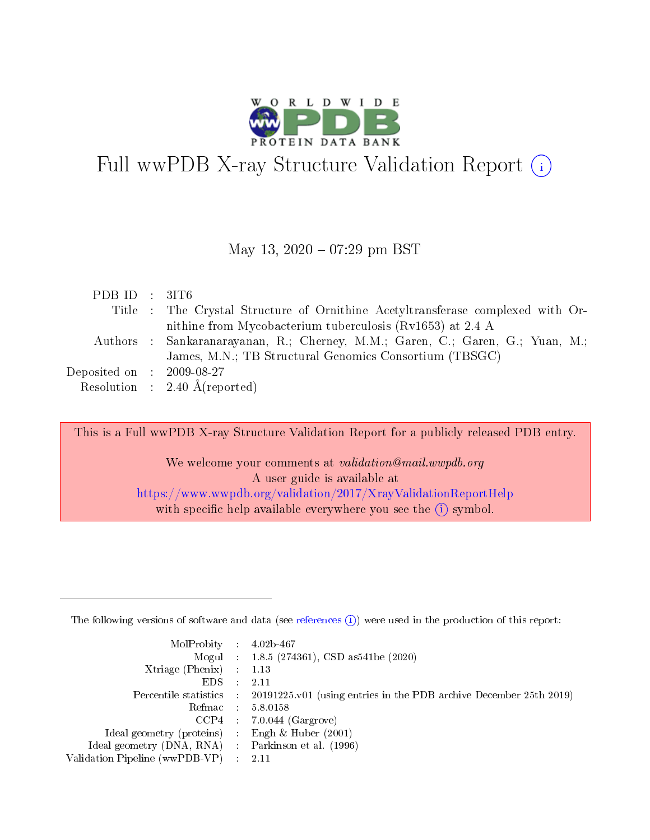

# Full wwPDB X-ray Structure Validation Report  $(i)$

#### May 13,  $2020 - 07:29$  pm BST

| PDB ID : 3IT6                        |                                                                                 |
|--------------------------------------|---------------------------------------------------------------------------------|
|                                      | Title : The Crystal Structure of Ornithine Acetyltransferase complexed with Or- |
|                                      | nithine from Mycobacterium tuberculosis (Rv1653) at 2.4 A                       |
|                                      | Authors : Sankaranarayanan, R.; Cherney, M.M.; Garen, C.; Garen, G.; Yuan, M.;  |
|                                      | James, M.N.; TB Structural Genomics Consortium (TBSGC)                          |
| Deposited on $\therefore$ 2009-08-27 |                                                                                 |
|                                      | Resolution : $2.40 \text{ Å}$ (reported)                                        |

This is a Full wwPDB X-ray Structure Validation Report for a publicly released PDB entry.

We welcome your comments at validation@mail.wwpdb.org A user guide is available at <https://www.wwpdb.org/validation/2017/XrayValidationReportHelp> with specific help available everywhere you see the  $(i)$  symbol.

The following versions of software and data (see [references](https://www.wwpdb.org/validation/2017/XrayValidationReportHelp#references)  $(1)$ ) were used in the production of this report:

| $MolProbability$ : 4.02b-467                       |               |                                                                                            |
|----------------------------------------------------|---------------|--------------------------------------------------------------------------------------------|
|                                                    |               | Mogul : $1.8.5$ (274361), CSD as 541be (2020)                                              |
| Xtriage (Phenix) $: 1.13$                          |               |                                                                                            |
| EDS.                                               | $\mathcal{L}$ | -2.11                                                                                      |
|                                                    |               | Percentile statistics : 20191225.v01 (using entries in the PDB archive December 25th 2019) |
|                                                    |               | Refmac : 5.8.0158                                                                          |
|                                                    |               | $CCP4$ 7.0.044 (Gargrove)                                                                  |
| Ideal geometry (proteins) : Engh $\&$ Huber (2001) |               |                                                                                            |
| Ideal geometry (DNA, RNA) Parkinson et al. (1996)  |               |                                                                                            |
| Validation Pipeline (wwPDB-VP) : 2.11              |               |                                                                                            |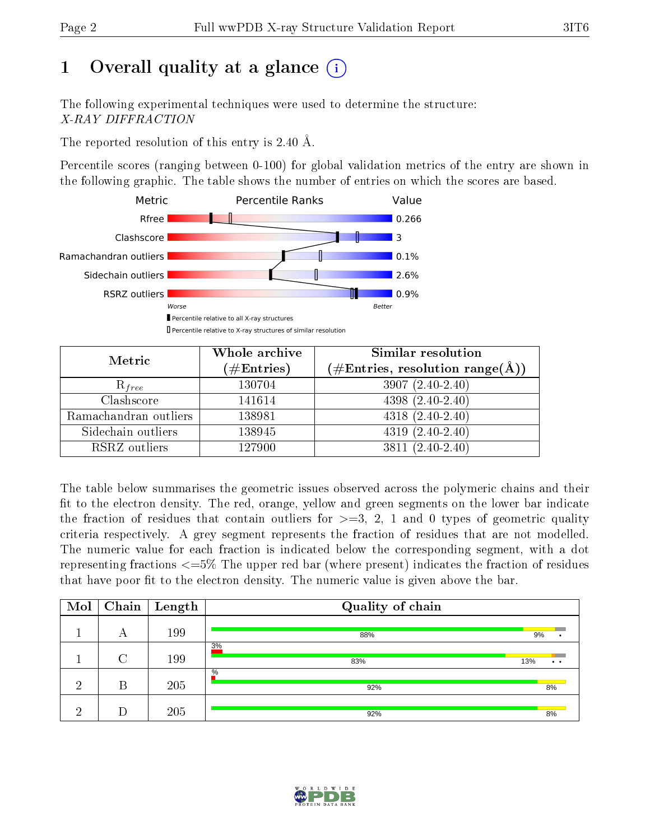# 1 [O](https://www.wwpdb.org/validation/2017/XrayValidationReportHelp#overall_quality)verall quality at a glance  $(i)$

The following experimental techniques were used to determine the structure: X-RAY DIFFRACTION

The reported resolution of this entry is 2.40 Å.

Percentile scores (ranging between 0-100) for global validation metrics of the entry are shown in the following graphic. The table shows the number of entries on which the scores are based.



| Metric                | Whole archive<br>$(\#\text{Entries})$ | <b>Similar resolution</b><br>$(\#\text{Entries}, \text{resolution range}(\text{\AA}))$ |
|-----------------------|---------------------------------------|----------------------------------------------------------------------------------------|
| $R_{free}$            | 130704                                | $3907(2.40-2.40)$                                                                      |
| Clashscore            | 141614                                | $4398(2.40-2.40)$                                                                      |
| Ramachandran outliers | 138981                                | $4318 (2.40 - 2.40)$                                                                   |
| Sidechain outliers    | 138945                                | $4319(2.40-2.40)$                                                                      |
| RSRZ outliers         | 127900                                | $3811 (2.40 - 2.40)$                                                                   |

The table below summarises the geometric issues observed across the polymeric chains and their fit to the electron density. The red, orange, yellow and green segments on the lower bar indicate the fraction of residues that contain outliers for  $>=3, 2, 1$  and 0 types of geometric quality criteria respectively. A grey segment represents the fraction of residues that are not modelled. The numeric value for each fraction is indicated below the corresponding segment, with a dot representing fractions  $\epsilon=5\%$  The upper red bar (where present) indicates the fraction of residues that have poor fit to the electron density. The numeric value is given above the bar.

| Mol |        | $\boxed{\text{Chain}}$ Length | Quality of chain |                        |
|-----|--------|-------------------------------|------------------|------------------------|
|     | А      | 199                           | 88%              | 9%                     |
|     | $\cap$ | 199                           | 3%<br>83%        | 13%<br>$\cdot$ $\cdot$ |
| ച   | В      | 205                           | $\%$<br>92%      | 8%                     |
| ച   |        | 205                           | 92%              | 8%                     |

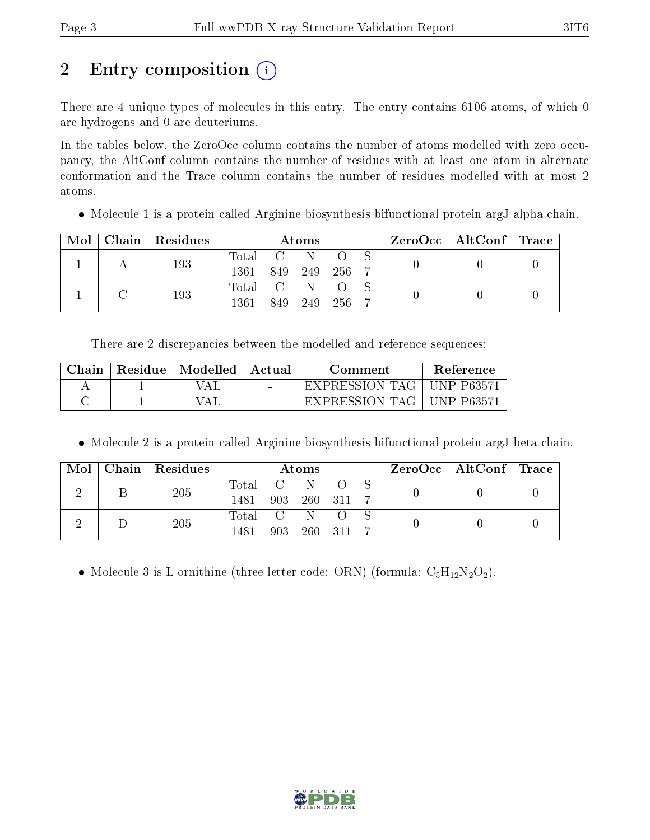# 2 Entry composition (i)

There are 4 unique types of molecules in this entry. The entry contains 6106 atoms, of which 0 are hydrogens and 0 are deuteriums.

In the tables below, the ZeroOcc column contains the number of atoms modelled with zero occupancy, the AltConf column contains the number of residues with at least one atom in alternate conformation and the Trace column contains the number of residues modelled with at most 2 atoms.

Molecule 1 is a protein called Arginine biosynthesis bifunctional protein argJ alpha chain.

| Mol |  | Chain   Residues | Atoms     |         |         |           |  | $\rm ZeroOcc \mid AltConf \mid Trace$ |  |
|-----|--|------------------|-----------|---------|---------|-----------|--|---------------------------------------|--|
|     |  | 193              | Total C N |         |         |           |  |                                       |  |
|     |  |                  | 1361      | 849 249 |         | - 256 - 7 |  |                                       |  |
|     |  | 193              | Total C N |         |         |           |  |                                       |  |
|     |  |                  | 1361      |         | 849 249 | - 256     |  |                                       |  |

There are 2 discrepancies between the modelled and reference sequences:

| Chain | Residue | $\mid$ Modelled $\mid$ | ' Actual                 | Comment          | Reference  |
|-------|---------|------------------------|--------------------------|------------------|------------|
|       |         | ΑI                     |                          | EXPRESSION TAG 1 | UNP P63571 |
|       |         | ′A⊥                    | <b>Contract Contract</b> | EXPRESSION TAG   | UNP P63571 |

Molecule 2 is a protein called Arginine biosynthesis bifunctional protein argJ beta chain.

| Mol | Chain   Residues | Atoms            |     |        |       |  | $\text{ZeroOcc}$   AltConf   Trace |  |
|-----|------------------|------------------|-----|--------|-------|--|------------------------------------|--|
|     | 205              | $\text{Total}$ C |     | 'N.    |       |  |                                    |  |
|     |                  | 1481             | 903 | -260 - | - 311 |  |                                    |  |
|     | 205              | Total C          |     | N.     |       |  |                                    |  |
|     |                  | 1481             | 903 | -260   | - 311 |  |                                    |  |

• Molecule 3 is L-ornithine (three-letter code: ORN) (formula:  $C_5H_{12}N_2O_2$ ).

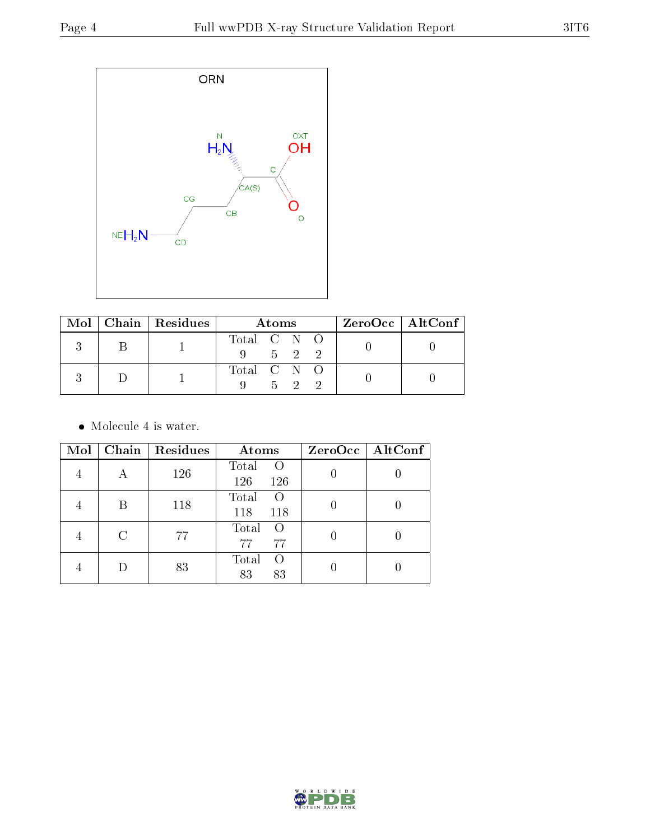

|  | Mol   Chain   Residues | A toms                            |  |       |  | $ZeroOcc \mid AltConf \mid$ |
|--|------------------------|-----------------------------------|--|-------|--|-----------------------------|
|  |                        | Total C N O<br>$9 \t 5 \t 2 \t 2$ |  |       |  |                             |
|  |                        | Total C N O                       |  | 5 2 2 |  |                             |

• Molecule 4 is water.

| Mol |   | Chain   Residues | Atoms                           | ZeroOcc   AltConf |
|-----|---|------------------|---------------------------------|-------------------|
|     | А | 126              | Total<br>$\Omega$<br>126<br>126 |                   |
|     | В | 118              | Total<br>$\Omega$<br>118<br>118 |                   |
|     | С | 77               | Total<br>$\circ$<br>77<br>77    |                   |
|     |   | 83               | Total<br>$\Omega$<br>83<br>83   |                   |

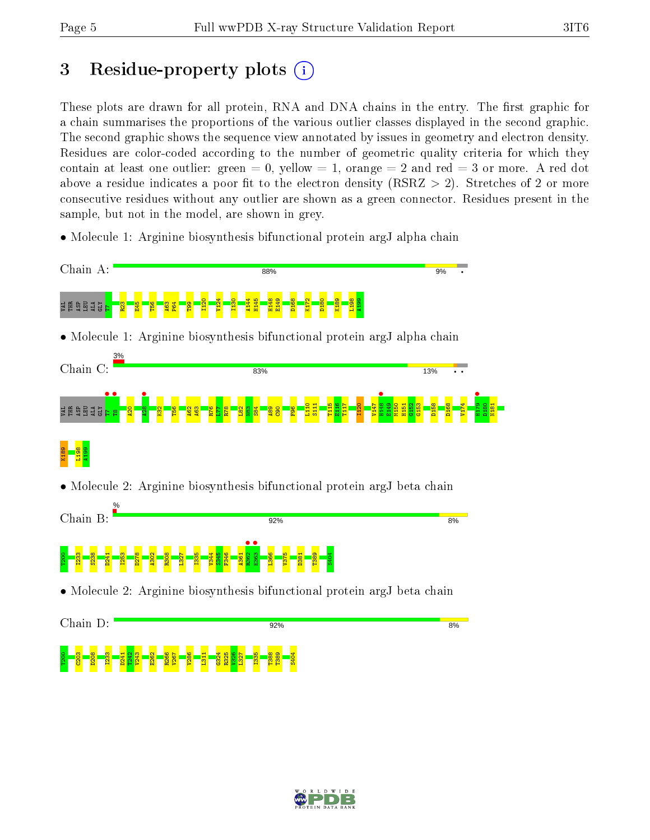# 3 Residue-property plots  $\binom{1}{1}$

These plots are drawn for all protein, RNA and DNA chains in the entry. The first graphic for a chain summarises the proportions of the various outlier classes displayed in the second graphic. The second graphic shows the sequence view annotated by issues in geometry and electron density. Residues are color-coded according to the number of geometric quality criteria for which they contain at least one outlier: green  $= 0$ , yellow  $= 1$ , orange  $= 2$  and red  $= 3$  or more. A red dot above a residue indicates a poor fit to the electron density (RSRZ  $> 2$ ). Stretches of 2 or more consecutive residues without any outlier are shown as a green connector. Residues present in the sample, but not in the model, are shown in grey.

• Molecule 1: Arginine biosynthesis bifunctional protein argJ alpha chain



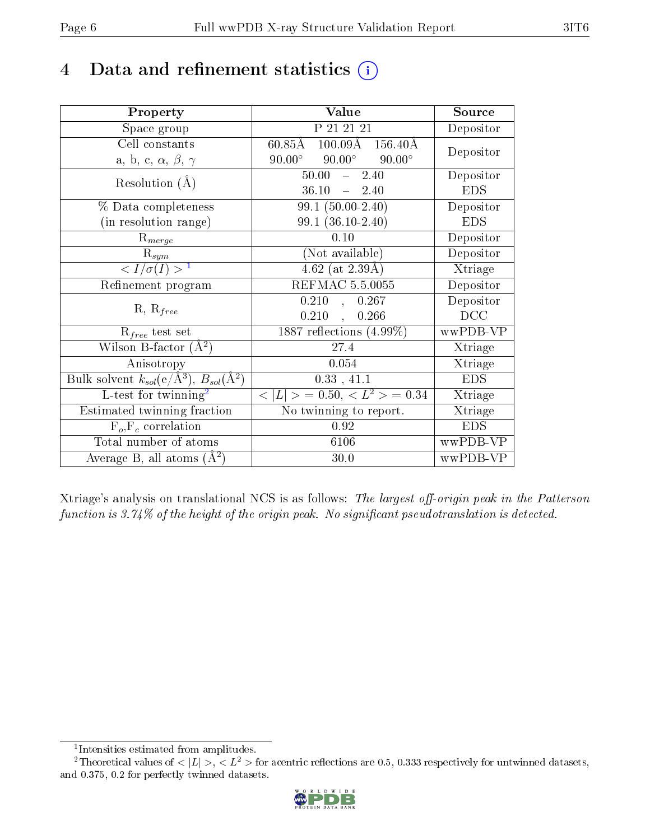# 4 Data and refinement statistics  $(i)$

| Property                                                         | Value                                            | Source     |
|------------------------------------------------------------------|--------------------------------------------------|------------|
| Space group                                                      | P 21 21 21                                       | Depositor  |
| Cell constants                                                   | $60.85\text{\AA}$<br>$100.09\text{\AA}$ 156.40 Å | Depositor  |
| a, b, c, $\alpha$ , $\beta$ , $\gamma$                           | $90.00^\circ$<br>$90.00^\circ$<br>$90.00^\circ$  |            |
| Resolution $(A)$                                                 | 50.00<br>2.40<br>$\frac{1}{2}$                   | Depositor  |
|                                                                  | 36.10<br>$-2.40$                                 | <b>EDS</b> |
| % Data completeness                                              | $99.1(50.00-2.40)$                               | Depositor  |
| (in resolution range)                                            | $99.1(36.10-2.40)$                               | <b>EDS</b> |
| $R_{merge}$                                                      | 0.10                                             | Depositor  |
| $\mathrm{R}_{sym}$                                               | (Not available)                                  | Depositor  |
| $\langle I/\sigma(I) \rangle^{-1}$                               | $4.62$ (at 2.39Å)                                | Xtriage    |
| Refinement program                                               | <b>REFMAC 5.5.0055</b>                           | Depositor  |
| $R, R_{free}$                                                    | 0.210<br>0.267<br>$\overline{\mathcal{L}}$       | Depositor  |
|                                                                  | 0.210<br>0.266<br>$\overline{\phantom{a}}$       | DCC        |
| $R_{free}$ test set                                              | $1887$ reflections $(4.99\%)$                    | wwPDB-VP   |
| Wilson B-factor $(A^2)$                                          | 27.4                                             | Xtriage    |
| Anisotropy                                                       | 0.054                                            | Xtriage    |
| Bulk solvent $k_{sol}(\text{e}/\text{A}^3), B_{sol}(\text{A}^2)$ | 0.33, 41.1                                       | <b>EDS</b> |
| $L$ -test for twinning <sup>2</sup>                              | $< L >$ = 0.50, $< L^2 >$ = 0.34                 | Xtriage    |
| Estimated twinning fraction                                      | No twinning to report.                           | Xtriage    |
| $F_o, F_c$ correlation                                           | 0.92                                             | <b>EDS</b> |
| Total number of atoms                                            | 6106                                             | wwPDB-VP   |
| Average B, all atoms $(A^2)$                                     | 30.0                                             | wwPDB-VP   |

Xtriage's analysis on translational NCS is as follows: The largest off-origin peak in the Patterson function is  $3.74\%$  of the height of the origin peak. No significant pseudotranslation is detected.

<sup>&</sup>lt;sup>2</sup>Theoretical values of  $\langle |L| \rangle$ ,  $\langle L^2 \rangle$  for acentric reflections are 0.5, 0.333 respectively for untwinned datasets, and 0.375, 0.2 for perfectly twinned datasets.



<span id="page-5-1"></span><span id="page-5-0"></span><sup>1</sup> Intensities estimated from amplitudes.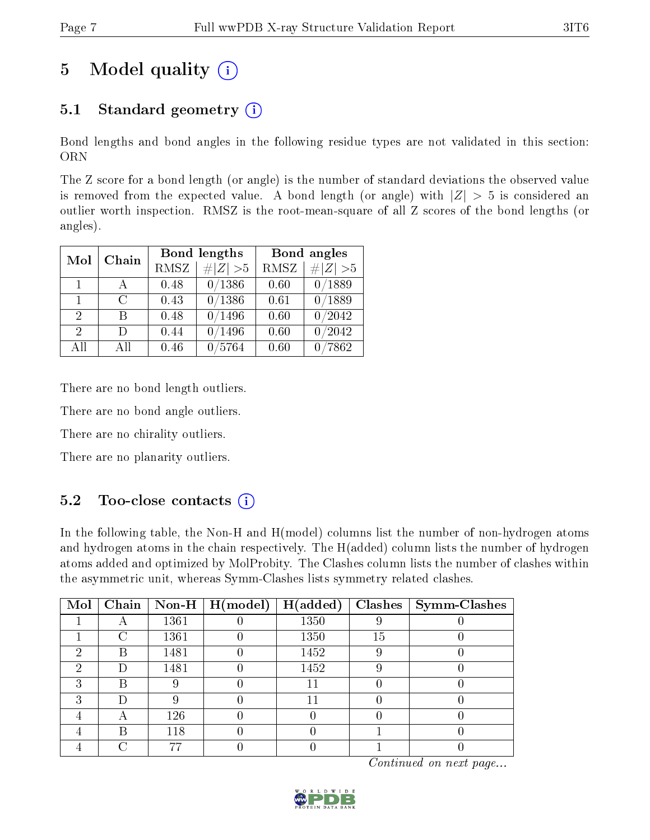# 5 Model quality  $(i)$

# 5.1 Standard geometry  $(i)$

Bond lengths and bond angles in the following residue types are not validated in this section: ORN

The Z score for a bond length (or angle) is the number of standard deviations the observed value is removed from the expected value. A bond length (or angle) with  $|Z| > 5$  is considered an outlier worth inspection. RMSZ is the root-mean-square of all Z scores of the bond lengths (or angles).

| Mol                         | Chain                       |             | Bond lengths   | Bond angles |           |  |
|-----------------------------|-----------------------------|-------------|----------------|-------------|-----------|--|
|                             |                             | <b>RMSZ</b> | $\# Z  > 5$    | <b>RMSZ</b> | # $ Z >5$ |  |
| $\mathbf{1}$                | A                           | 0.48        | 0/1386         | 0.60        | 0/1889    |  |
| $\mathbf{1}$                | $\mathcal{C}_{\mathcal{C}}$ | 0.43        | 0/1386         | 0.61        | 0/1889    |  |
| $\overline{2}$              | В                           | 0.48        | 0/1496         | 0.60        | 0/2042    |  |
| $\mathcal{D}_{\mathcal{L}}$ | Ð                           | 0.44        | /1496          | 0.60        | 0/2042    |  |
| All                         | Αll                         | 0.46        | $^\prime 5764$ | 0.60        | 7862      |  |

There are no bond length outliers.

There are no bond angle outliers.

There are no chirality outliers.

There are no planarity outliers.

### $5.2$  Too-close contacts  $\overline{1}$

In the following table, the Non-H and H(model) columns list the number of non-hydrogen atoms and hydrogen atoms in the chain respectively. The H(added) column lists the number of hydrogen atoms added and optimized by MolProbity. The Clashes column lists the number of clashes within the asymmetric unit, whereas Symm-Clashes lists symmetry related clashes.

| Mol |   |      | $\boxed{\text{Chain}}$   Non-H   H(model) | H(added) |    | $Clashes$   Symm-Clashes |
|-----|---|------|-------------------------------------------|----------|----|--------------------------|
|     |   | 1361 |                                           | 1350     |    |                          |
|     | ∩ | 1361 |                                           | 1350     | 15 |                          |
| 2   | B | 1481 |                                           | 1452     |    |                          |
| ച   |   | 1481 |                                           | 1452     |    |                          |
|     | В |      |                                           |          |    |                          |
| ົ   |   |      |                                           |          |    |                          |
|     |   | 126  |                                           |          |    |                          |
|     | В | 118  |                                           |          |    |                          |
|     |   |      |                                           |          |    |                          |

Continued on next page...

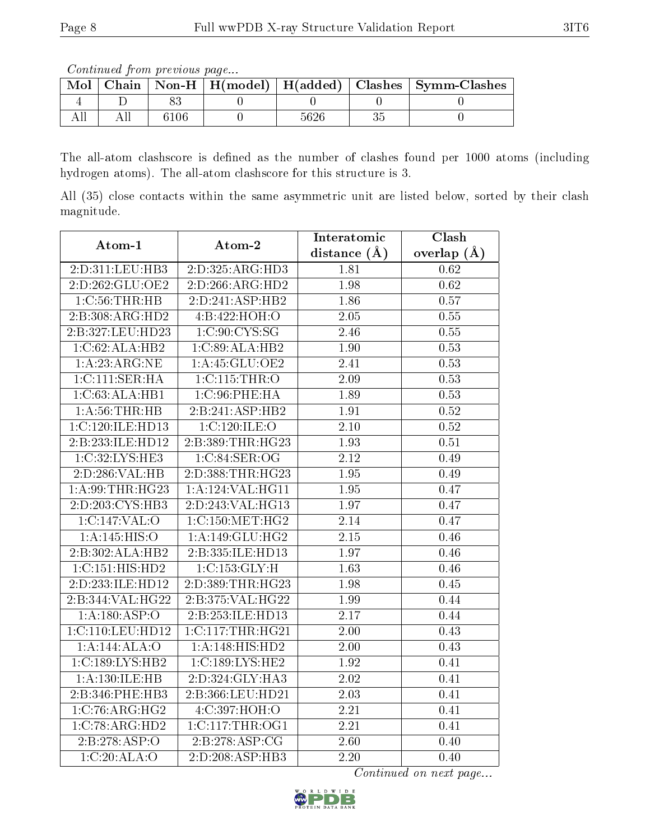Continued from previous page...

| Mol |  |  | Chain   Non-H   H(model)   H(added)   Clashes   Symm-Clashes |
|-----|--|--|--------------------------------------------------------------|
|     |  |  |                                                              |
|     |  |  |                                                              |

The all-atom clashscore is defined as the number of clashes found per 1000 atoms (including hydrogen atoms). The all-atom clashscore for this structure is 3.

All (35) close contacts within the same asymmetric unit are listed below, sorted by their clash magnitude.

| Atom-1                               | Atom-2           | Interatomic       | Clash             |
|--------------------------------------|------------------|-------------------|-------------------|
|                                      |                  | distance $(\AA)$  | overlap $(A)$     |
| 2:D:311:LEU:HB3                      | 2:D:325:ARG:HD3  | 1.81              | 0.62              |
| 2:D:262:GLU:OE2                      | 2:D:266:ARG:HD2  | 1.98              | $\overline{0.62}$ |
| $1:C:56$ : THR: HB                   | 2:D:241:ASP:HB2  | 1.86              | 0.57              |
| 2:B:308:ARG:HD2                      | 4:B:422:HOH:O    | 2.05              | 0.55              |
| 2:B:327:LEU:HD23                     | 1:C:90:CYS:SG    | 2.46              | 0.55              |
| 1:C:62:ALA:HB2                       | 1:C:89:ALA:HB2   | 1.90              | 0.53              |
| 1: A:23:ARG:NE                       | 1:A:45:GLU:OE2   | 2.41              | 0.53              |
| 1:C:111:SER:HA                       | 1:C:115:THR:O    | 2.09              | 0.53              |
| 1:C:63:ALA:HB1                       | 1: C:96: PHE: HA | 1.89              | $0.53\,$          |
| 1: A:56:THR:HB                       | 2:B:241:ASP:HB2  | 1.91              | 0.52              |
| 1:C:120:ILE:HD13                     | 1:C:120:ILE:O    | 2.10              | $0.52\,$          |
| 2:B:233:ILE:HD12                     | 2:B:389:THR:HG23 | 1.93              | 0.51              |
| 1:C:32:LYS:HE3                       | 1:C:84:SER:OG    | $\overline{2.12}$ | 0.49              |
| 2:D:286:VAL:HB                       | 2:D:388:THR:HG23 | 1.95              | 0.49              |
| 1: A:99:THR:HG23                     | 1:A:124:VAL:HG11 | 1.95              | 0.47              |
| 2:D:203:CYS:HB3                      | 2:D:243:VAL:HG13 | 1.97              | 0.47              |
| 1:C:147:VAL:O                        | 1:C:150:MET:HG2  | $\overline{2.14}$ | 0.47              |
| 1:A:145:HIS:O                        | 1:A:149:GLU:HG2  | 2.15              | 0.46              |
| 2:B:302:ALA:HB2                      | 2:B:335:ILE:HD13 | 1.97              | 0.46              |
| 1:C:151:HIS:HD2                      | 1:C:153:GLY:H    | $\overline{1.63}$ | 0.46              |
| 2:D:233:ILE:HD12                     | 2:D:389:THR:HG23 | 1.98              | 0.45              |
| $2:B:344:\overline{VAL:HG22}$        | 2:B:375:VAL:HG22 | 1.99              | 0.44              |
| 1:A:180:ASP:O                        | 2:B:253:ILE:HD13 | 2.17              | 0.44              |
| 1:C:110:LEU:HD12                     | 1:C:117:THR:HG21 | 2.00              | 0.43              |
| 1:A:144:ALA:O                        | 1:A:148:HIS:HD2  | $\overline{2.00}$ | 0.43              |
| 1:C:189:LYS:HB2                      | 1:C:189:LYS:HE2  | 1.92              | 0.41              |
| 1:A:130:ILE:HB                       | 2:D:324:GLY:HA3  | $\overline{2.02}$ | 0.41              |
| 2:B:346:PHE:HB3                      | 2:B:366:LEU:HD21 | 2.03              | 0.41              |
| 1:C:76:ARG:HG2                       | 4:C:397:HOH:O    | 2.21              | 0.41              |
| $1:C:78:A\overline{\mathrm{RG:HD2}}$ | 1:C:117:THR:OG1  | $\overline{2.21}$ | 0.41              |
| 2:B:278:ASP:O                        | 2:B:278:ASP:CG   | 2.60              | 0.40              |
| 1:C:20:ALA:O                         | 2:D:208:ASP:HB3  | $\overline{2.20}$ | 0.40              |

Continued on next page...

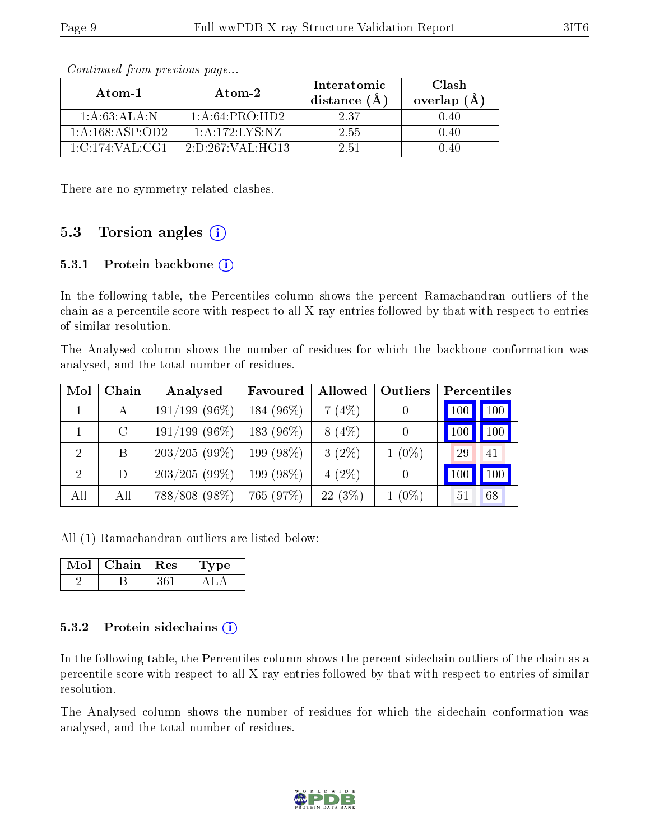| Atom-1              | Atom-2               | Interatomic<br>distance $(A)$ | Clash<br>overlap $(A)$ |
|---------------------|----------------------|-------------------------------|------------------------|
| 1:A:63:ALA:N        | 1:A:64:PRO:HD2       | 237                           | 1.40                   |
| 1: A: 168: ASP: OD2 | 1: A: 172: LYS: NZ   | 2.55                          |                        |
| 1: C: 174: VAL: CG1 | 2: D: 267: VAL: HG13 | 2.51                          |                        |

Continued from previous page...

There are no symmetry-related clashes.

### 5.3 Torsion angles  $(i)$

#### 5.3.1 Protein backbone (i)

In the following table, the Percentiles column shows the percent Ramachandran outliers of the chain as a percentile score with respect to all X-ray entries followed by that with respect to entries of similar resolution.

The Analysed column shows the number of residues for which the backbone conformation was analysed, and the total number of residues.

| Mol            | Chain         | Analysed         | Favoured   | <b>Allowed</b> | Outliers | Percentiles       |
|----------------|---------------|------------------|------------|----------------|----------|-------------------|
|                | А             | $191/199$ (96%)  | 184 (96%)  | 7(4%)          |          | 100<br>100        |
|                | $\mathcal{C}$ | $191/199$ (96\%) | 183 (96\%) | $8(4\%)$       |          | $100 \mid$<br>100 |
| 2              | B             | 203/205(99%)     | 199 (98%)  | $3(2\%)$       | $1(0\%)$ | 29<br>41          |
| $\overline{2}$ | D             | $203/205(99\%)$  | 199 (98%)  | $4(2\%)$       |          | 100<br>100        |
| All            | All           | $788/808(98\%)$  | 765 (97%)  | 22(3%)         | $1(0\%)$ | 51<br>68          |

All (1) Ramachandran outliers are listed below:

| VIol | Chain | $\mathbf{Res}$ | vpe |
|------|-------|----------------|-----|
|      |       |                |     |

#### 5.3.2 Protein sidechains (i)

In the following table, the Percentiles column shows the percent sidechain outliers of the chain as a percentile score with respect to all X-ray entries followed by that with respect to entries of similar resolution.

The Analysed column shows the number of residues for which the sidechain conformation was analysed, and the total number of residues.

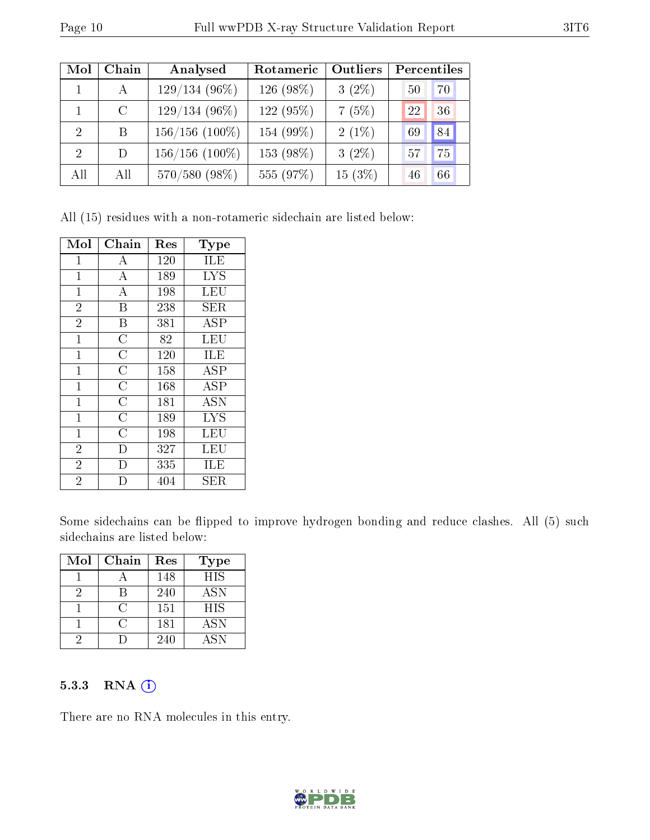| Mol            | Chain         | Analysed         | Rotameric | Outliers | Percentiles |
|----------------|---------------|------------------|-----------|----------|-------------|
|                | $\mathsf{A}$  | $129/134(96\%)$  | 126 (98%) | $3(2\%)$ | 70<br>50    |
|                | $\mathcal{C}$ | $129/134(96\%)$  | 122 (95%) | 7(5%)    | 22<br>36    |
| $\overline{2}$ | B             | $156/156$ (100%) | 154 (99%) | $2(1\%)$ | 84<br>69    |
| $\overline{2}$ | D             | $156/156$ (100%) | 153 (98%) | $3(2\%)$ | 75<br>57    |
| All            | All           | 570/580 (98%)    | 555 (97%) | 15(3%)   | 66<br>46    |

All (15) residues with a non-rotameric sidechain are listed below:

| Mol            | Chain              | Res | Type       |
|----------------|--------------------|-----|------------|
| $\mathbf 1$    | А                  | 120 | ILE        |
| $\mathbf{1}$   | $\boldsymbol{A}$   | 189 | <b>LYS</b> |
| $\mathbf{1}$   | $\boldsymbol{A}$   | 198 | LEU        |
| $\overline{2}$ | B                  | 238 | SER        |
| $\overline{2}$ | B                  | 381 | <b>ASP</b> |
| $\mathbf{1}$   | $\overline{\rm C}$ | 82  | LEU        |
| $\mathbf{1}$   | $\overline{C}$     | 120 | ILE        |
| $\mathbf{1}$   | $\overline{\rm C}$ | 158 | ASP        |
| $\mathbf{1}$   | $\overline{\rm C}$ | 168 | ASP        |
| $\mathbf{1}$   | $\overline{\rm C}$ | 181 | <b>ASN</b> |
| $\mathbf 1$    | $\overline{\rm C}$ | 189 | <b>LYS</b> |
| $\mathbf{1}$   | $\overline{C}$     | 198 | LEU        |
| $\overline{2}$ | D                  | 327 | LEU        |
| $\overline{2}$ | D                  | 335 | ILE        |
| $\overline{2}$ | D                  | 404 | SER        |

Some sidechains can be flipped to improve hydrogen bonding and reduce clashes. All (5) such sidechains are listed below:

| Mol | Chain      | Res | Type       |
|-----|------------|-----|------------|
|     |            | 148 | <b>HIS</b> |
|     |            | 240 | <b>ASN</b> |
|     | $\cap$     | 151 | <b>HIS</b> |
|     | $\epsilon$ | 181 | <b>ASN</b> |
|     |            | 240 | ASN        |

#### 5.3.3 RNA (1)

There are no RNA molecules in this entry.

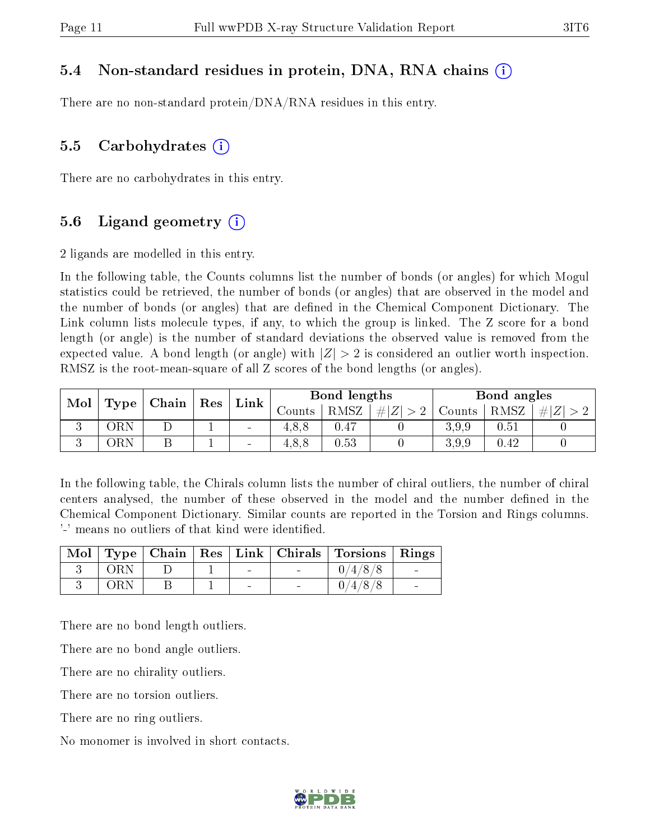#### 5.4 Non-standard residues in protein, DNA, RNA chains (i)

There are no non-standard protein/DNA/RNA residues in this entry.

#### 5.5 Carbohydrates  $(i)$

There are no carbohydrates in this entry.

### 5.6 Ligand geometry  $(i)$

2 ligands are modelled in this entry.

In the following table, the Counts columns list the number of bonds (or angles) for which Mogul statistics could be retrieved, the number of bonds (or angles) that are observed in the model and the number of bonds (or angles) that are dened in the Chemical Component Dictionary. The Link column lists molecule types, if any, to which the group is linked. The Z score for a bond length (or angle) is the number of standard deviations the observed value is removed from the expected value. A bond length (or angle) with  $|Z| > 2$  is considered an outlier worth inspection. RMSZ is the root-mean-square of all Z scores of the bond lengths (or angles).

|                          |     |  |      |                |       |                     |        |       |                     | $\mid$ Chain |  |  |  |  |  |  |  |  | Res |  | Bond lengths |  |  | Bond angles |  |  |
|--------------------------|-----|--|------|----------------|-------|---------------------|--------|-------|---------------------|--------------|--|--|--|--|--|--|--|--|-----|--|--------------|--|--|-------------|--|--|
| Mol<br>Type <sub>1</sub> |     |  | Link | $\rm~counts$   | RMSZ  | $\# Z $<br>$\sim$ 0 | Counts | RMSZ  | $Z^{\prime}$<br>#1. |              |  |  |  |  |  |  |  |  |     |  |              |  |  |             |  |  |
|                          |     |  |      | $\blacksquare$ |       | 0.47                |        | 3.9.9 | 0.51                |              |  |  |  |  |  |  |  |  |     |  |              |  |  |             |  |  |
|                          | )RN |  |      | -              | 4.8.8 | 0.53                |        | 3.9.9 | 0.42                |              |  |  |  |  |  |  |  |  |     |  |              |  |  |             |  |  |

In the following table, the Chirals column lists the number of chiral outliers, the number of chiral centers analysed, the number of these observed in the model and the number defined in the Chemical Component Dictionary. Similar counts are reported in the Torsion and Rings columns. '-' means no outliers of that kind were identified.

|     |  |  | Mol   Type   Chain   Res   Link   Chirals   Torsions   Rings |  |
|-----|--|--|--------------------------------------------------------------|--|
| ORN |  |  | 0/4/8/8                                                      |  |
| ORN |  |  | 0/4/8/8                                                      |  |

There are no bond length outliers.

There are no bond angle outliers.

There are no chirality outliers.

There are no torsion outliers.

There are no ring outliers.

No monomer is involved in short contacts.

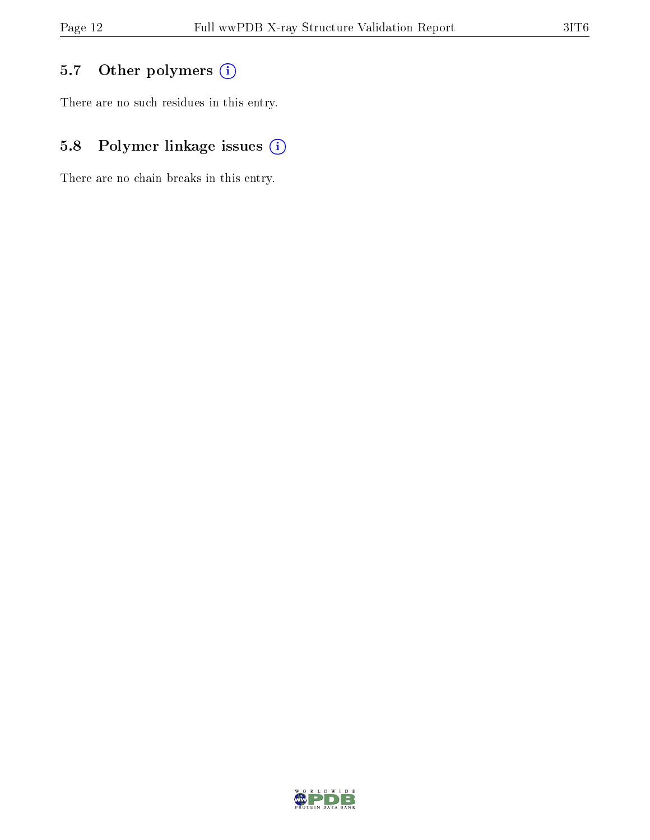# 5.7 [O](https://www.wwpdb.org/validation/2017/XrayValidationReportHelp#nonstandard_residues_and_ligands)ther polymers (i)

There are no such residues in this entry.

# 5.8 Polymer linkage issues (i)

There are no chain breaks in this entry.

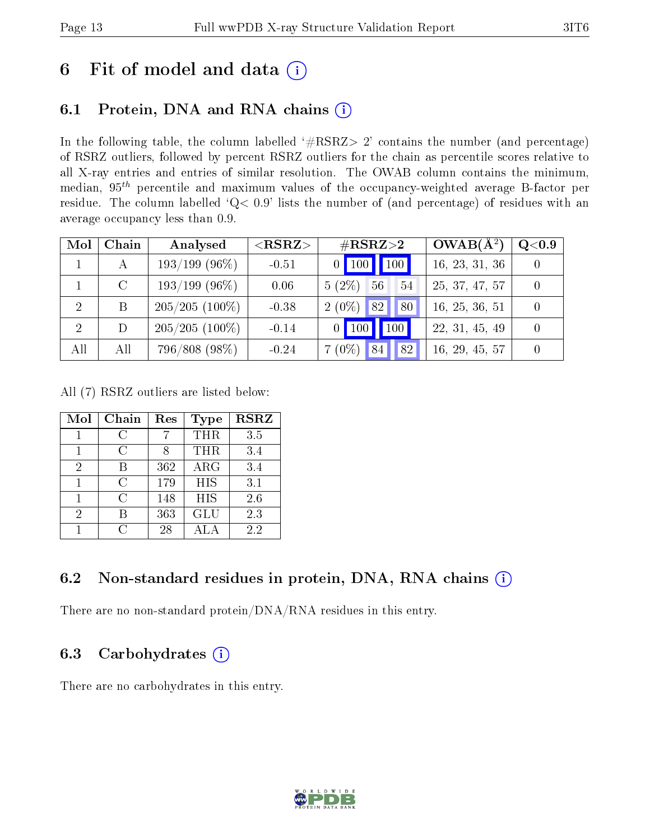# 6 Fit of model and data  $(i)$

## 6.1 Protein, DNA and RNA chains  $(i)$

In the following table, the column labelled  $#RSRZ> 2'$  contains the number (and percentage) of RSRZ outliers, followed by percent RSRZ outliers for the chain as percentile scores relative to all X-ray entries and entries of similar resolution. The OWAB column contains the minimum, median,  $95<sup>th</sup>$  percentile and maximum values of the occupancy-weighted average B-factor per residue. The column labelled ' $Q< 0.9$ ' lists the number of (and percentage) of residues with an average occupancy less than 0.9.

| Mol | Chain         | Analysed         | $<$ RSRZ $>$ | $\#\text{RSRZ}{>}2$                   | $OWAB(A^2)$    | Q <sub>0.9</sub> |
|-----|---------------|------------------|--------------|---------------------------------------|----------------|------------------|
|     |               | $193/199$ (96\%) | $-0.51$      | $0$ 100 100                           | 16, 23, 31, 36 |                  |
|     | $\mathcal{C}$ | $193/199$ (96\%) | 0.06         | $5(2\%)$<br>56<br>54                  | 25, 37, 47, 57 |                  |
| -2  | B             | $205/205(100\%)$ | $-0.38$      | $2(0\%)$<br>80<br> 82                 | 16, 25, 36, 51 |                  |
| 2   | D             | $205/205(100\%)$ | $-0.14$      | 100<br>$\vert$ 100<br>$\vert 0 \vert$ | 22, 31, 45, 49 |                  |
| All | All           | 796/808 (98%)    | $-0.24$      | 82<br>$7(0\%)$<br>84                  | 16, 29, 45, 57 |                  |

All (7) RSRZ outliers are listed below:

| Mol | Chain | Res | Type       | <b>RSRZ</b> |
|-----|-------|-----|------------|-------------|
|     | C     |     | THR        | 3.5         |
|     | C     | χ   | THR        | 3.4         |
| 2   | В     | 362 | ARG        | 3.4         |
|     | C     | 179 | <b>HIS</b> | 3.1         |
| 1   | C     | 148 | <b>HIS</b> | 2.6         |
| 2   |       | 363 | <b>GLU</b> | 2.3         |
|     | 0     | 28  | ALA        | 22          |

## 6.2 Non-standard residues in protein, DNA, RNA chains  $(i)$

There are no non-standard protein/DNA/RNA residues in this entry.

### 6.3 Carbohydrates  $(i)$

There are no carbohydrates in this entry.